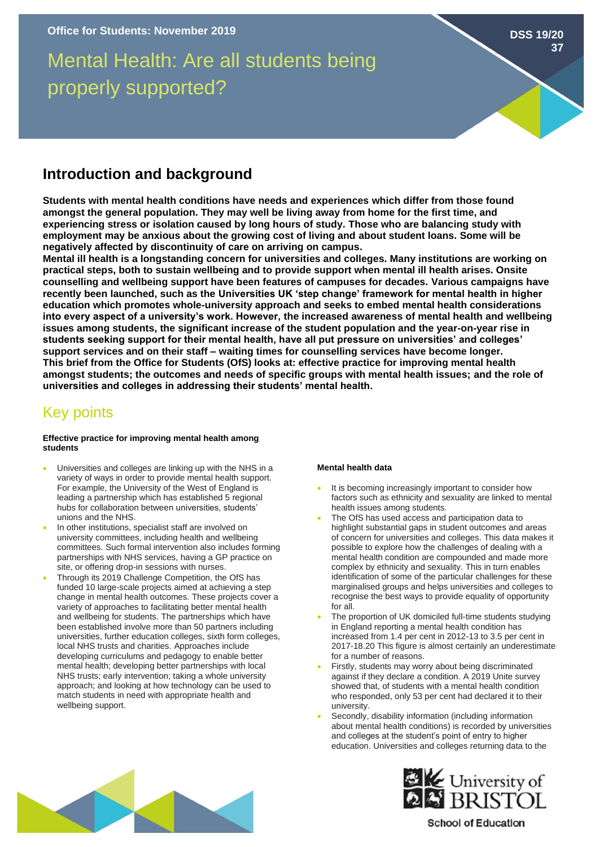# Mental Health: Are all students being properly supported?

**Introduction and background**

**Students with mental health conditions have needs and experiences which differ from those found amongst the general population. They may well be living away from home for the first time, and experiencing stress or isolation caused by long hours of study. Those who are balancing study with employment may be anxious about the growing cost of living and about student loans. Some will be negatively affected by discontinuity of care on arriving on campus.**

**Mental ill health is a longstanding concern for universities and colleges. Many institutions are working on practical steps, both to sustain wellbeing and to provide support when mental ill health arises. Onsite counselling and wellbeing support have been features of campuses for decades. Various campaigns have recently been launched, such as the Universities UK 'step change' framework for mental health in higher education which promotes whole-university approach and seeks to embed mental health considerations into every aspect of a university's work. However, the increased awareness of mental health and wellbeing issues among students, the significant increase of the student population and the year-on-year rise in students seeking support for their mental health, have all put pressure on universities' and colleges' support services and on their staff – waiting times for counselling services have become longer. This brief from the Office for Students (OfS) looks at: effective practice for improving mental health amongst students; the outcomes and needs of specific groups with mental health issues; and the role of universities and colleges in addressing their students' mental health.** 

# Key points

# **Effective practice for improving mental health among students**

- Universities and colleges are linking up with the NHS in a variety of ways in order to provide mental health support. For example, the University of the West of England is leading a partnership which has established 5 regional hubs for collaboration between universities, students' unions and the NHS.
- In other institutions, specialist staff are involved on university committees, including health and wellbeing committees. Such formal intervention also includes forming partnerships with NHS services, having a GP practice on site, or offering drop-in sessions with nurses.
- Through its 2019 Challenge Competition, the OfS has funded 10 large-scale projects aimed at achieving a step change in mental health outcomes. These projects cover a variety of approaches to facilitating better mental health and wellbeing for students. The partnerships which have been established involve more than 50 partners including universities, further education colleges, sixth form colleges, local NHS trusts and charities. Approaches include developing curriculums and pedagogy to enable better mental health; developing better partnerships with local NHS trusts; early intervention; taking a whole university approach; and looking at how technology can be used to match students in need with appropriate health and wellbeing support.

# **Mental health data**

- It is becoming increasingly important to consider how factors such as ethnicity and sexuality are linked to mental health issues among students.
- The OfS has used access and participation data to highlight substantial gaps in student outcomes and areas of concern for universities and colleges. This data makes it possible to explore how the challenges of dealing with a mental health condition are compounded and made more complex by ethnicity and sexuality. This in turn enables identification of some of the particular challenges for these marginalised groups and helps universities and colleges to recognise the best ways to provide equality of opportunity for all.
- The proportion of UK domiciled full-time students studying in England reporting a mental health condition has increased from 1.4 per cent in 2012-13 to 3.5 per cent in 2017-18.20 This figure is almost certainly an underestimate for a number of reasons.
- Firstly, students may worry about being discriminated against if they declare a condition. A 2019 Unite survey showed that, of students with a mental health condition who responded, only 53 per cent had declared it to their university.
- Secondly, disability information (including information about mental health conditions) is recorded by universities and colleges at the student's point of entry to higher education. Universities and colleges returning data to the





**School of Education** 

**DSS 19/20 37**